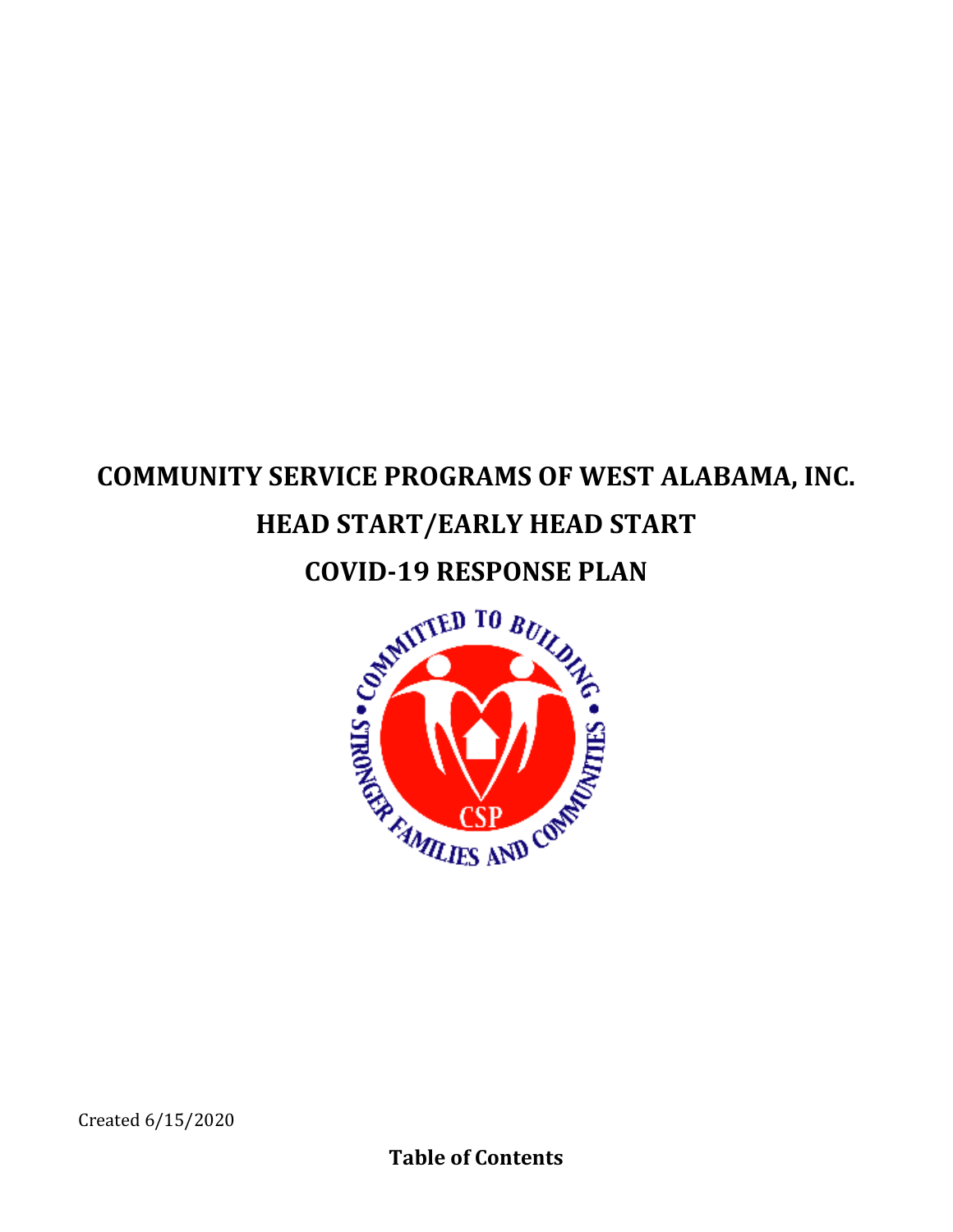# **COMMUNITY SERVICE PROGRAMS OF WEST ALABAMA, INC. HEAD START/EARLY HEAD START**

# **COVID-19 RESPONSE PLAN**

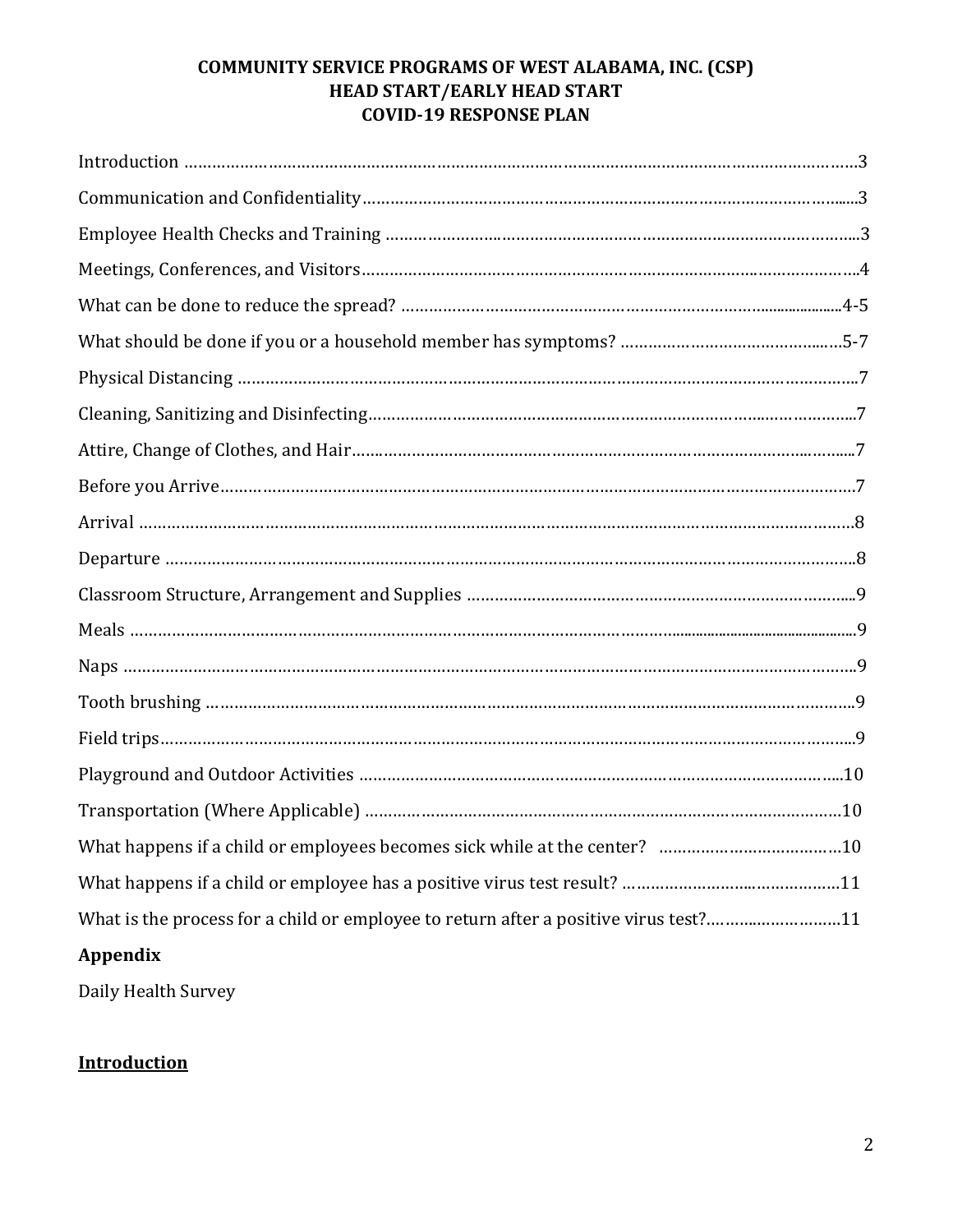| What is the process for a child or employee to return after a positive virus test?11 |  |
|--------------------------------------------------------------------------------------|--|
| <b>Appendix</b>                                                                      |  |

Daily Health Survey

# **Introduction**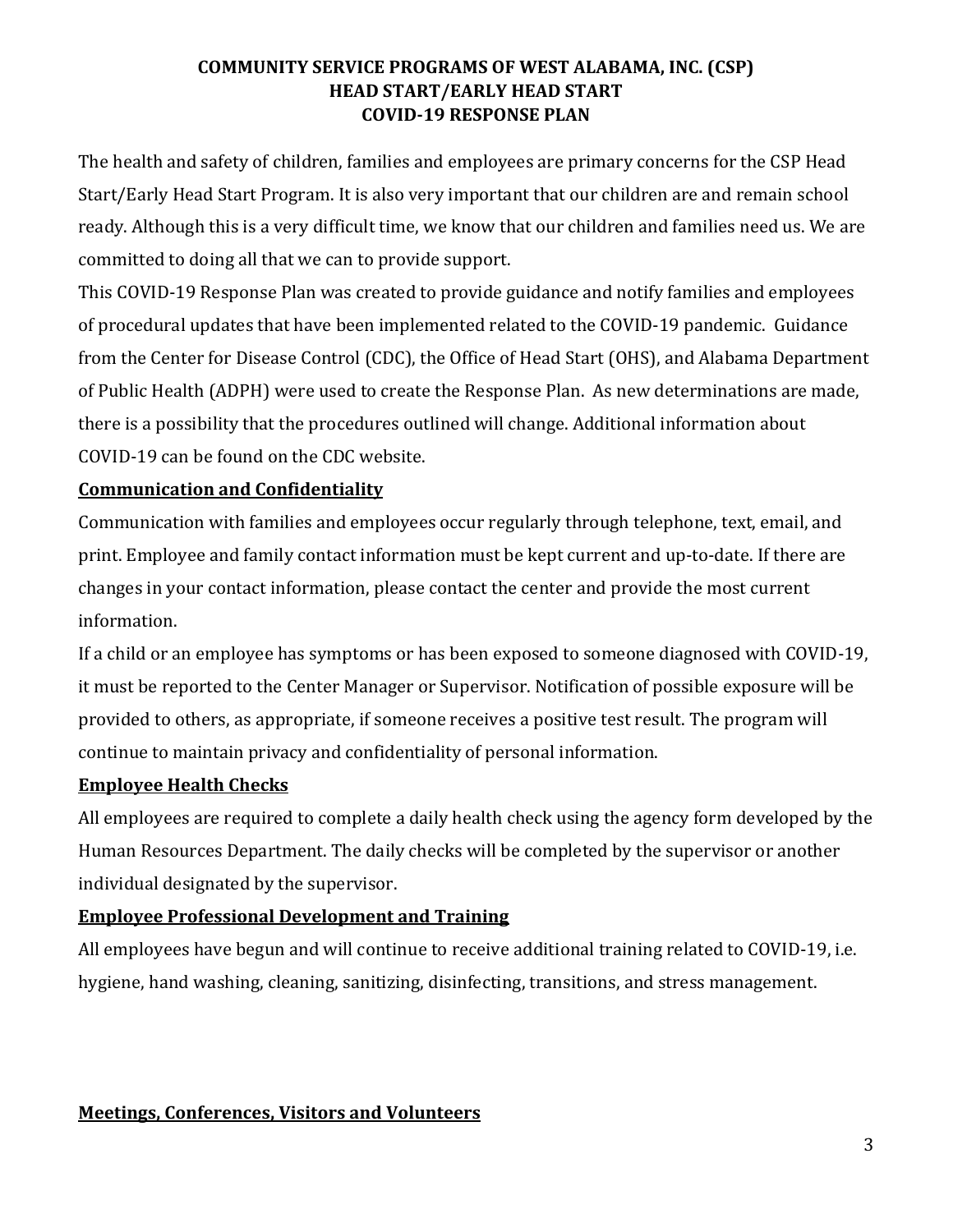The health and safety of children, families and employees are primary concerns for the CSP Head Start/Early Head Start Program. It is also very important that our children are and remain school ready. Although this is a very difficult time, we know that our children and families need us. We are committed to doing all that we can to provide support.

This COVID-19 Response Plan was created to provide guidance and notify families and employees of procedural updates that have been implemented related to the COVID-19 pandemic. Guidance from the Center for Disease Control (CDC), the Office of Head Start (OHS), and Alabama Department of Public Health (ADPH) were used to create the Response Plan. As new determinations are made, there is a possibility that the procedures outlined will change. Additional information about COVID-19 can be found on the CDC website.

# **Communication and Confidentiality**

Communication with families and employees occur regularly through telephone, text, email, and print. Employee and family contact information must be kept current and up-to-date. If there are changes in your contact information, please contact the center and provide the most current information.

If a child or an employee has symptoms or has been exposed to someone diagnosed with COVID-19, it must be reported to the Center Manager or Supervisor. Notification of possible exposure will be provided to others, as appropriate, if someone receives a positive test result. The program will continue to maintain privacy and confidentiality of personal information.

# **Employee Health Checks**

All employees are required to complete a daily health check using the agency form developed by the Human Resources Department. The daily checks will be completed by the supervisor or another individual designated by the supervisor.

# **Employee Professional Development and Training**

All employees have begun and will continue to receive additional training related to COVID-19, i.e. hygiene, hand washing, cleaning, sanitizing, disinfecting, transitions, and stress management.

### **Meetings, Conferences, Visitors and Volunteers**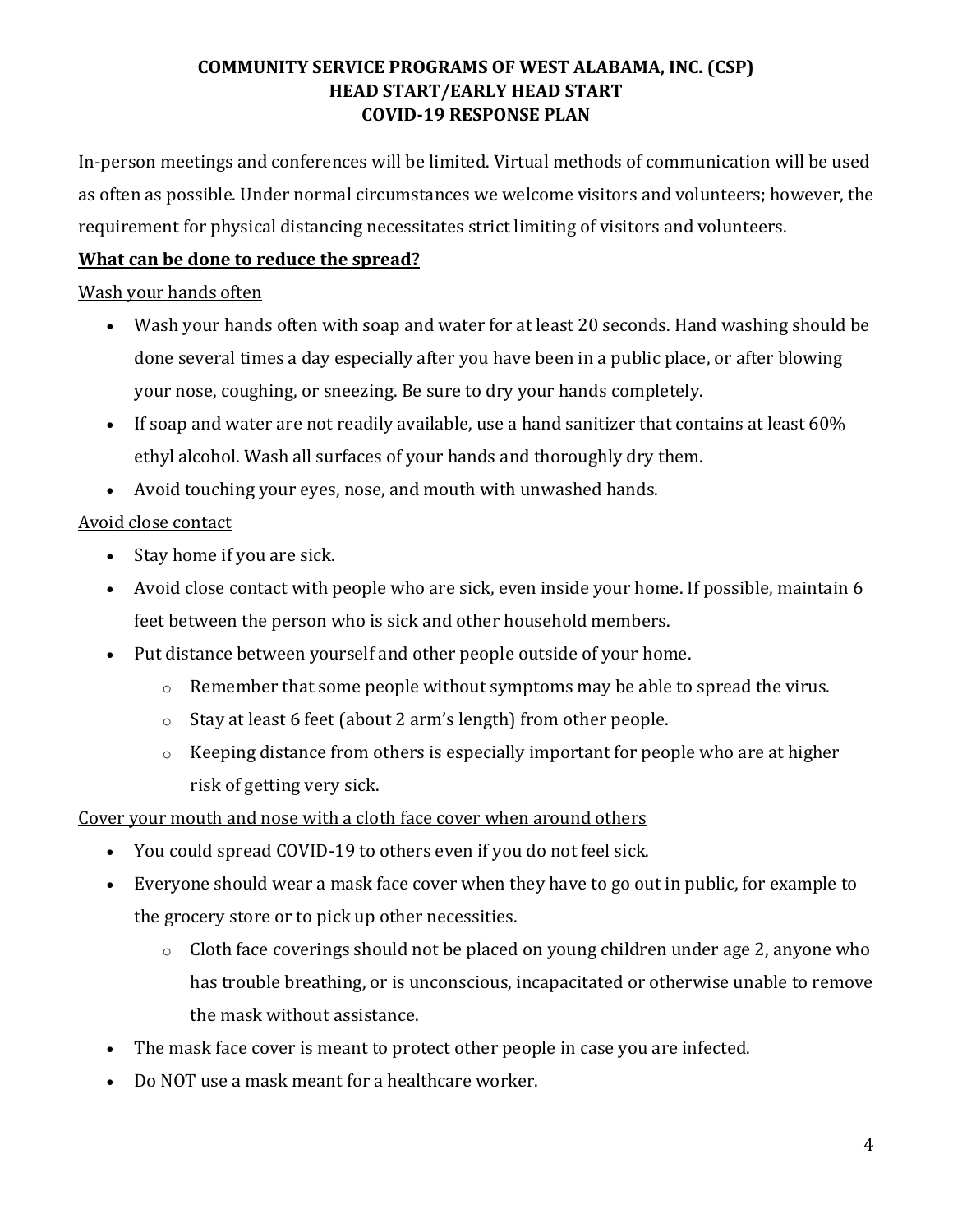In-person meetings and conferences will be limited. Virtual methods of communication will be used as often as possible. Under normal circumstances we welcome visitors and volunteers; however, the requirement for physical distancing necessitates strict limiting of visitors and volunteers.

# **What can be done to reduce the spread?**

### Wash your hands often

- [Wash your hands](https://www.cdc.gov/handwashing/when-how-handwashing.html) often with soap and water for at least 20 seconds. Hand washing should be done several times a day especially after you have been in a public place, or after blowing your nose, coughing, or sneezing. Be sure to dry your hands completely.
- If soap and water are not readily available, use a hand sanitizer that contains at least 60% ethyl alcohol. Wash all surfaces of your hands and thoroughly dry them.
- Avoid touching your eyes, nose, and mouth with unwashed hands.

# Avoid close contact

- Stay home if you are sick.
- Avoid close contact with people who are sick, even inside your home. If possible, maintain 6 feet between the person who is sick and other household members.
- Put distance between yourself and other people outside of your home.
	- o Remember that some people without symptoms may be able to spread the virus.
	- o Stay at least 6 feet (about 2 arm's [length\) from other people.](https://www.cdc.gov/coronavirus/2019-ncov/prevent-getting-sick/social-distancing.html)
	- o Keeping distance from others is especially important for [people who are at higher](https://www.cdc.gov/coronavirus/2019-ncov/need-extra-precautions/people-at-higher-risk.html)  [risk of getting very sick.](https://www.cdc.gov/coronavirus/2019-ncov/need-extra-precautions/people-at-higher-risk.html)

# Cover your mouth and nose with a cloth face cover when around others

- You could spread COVID-19 to others even if you do not feel sick.
- Everyone should wear a mask [face cover](https://www.cdc.gov/coronavirus/2019-ncov/prevent-getting-sick/diy-cloth-face-coverings.html) when they have to go out in public, for example to the grocery store or to pick up other necessities.
	- o Cloth face coverings should not be placed on young children under age 2, anyone who has trouble breathing, or is unconscious, incapacitated or otherwise unable to remove the mask without assistance.
- The mask face cover is meant to protect other people in case you are infected.
- Do NOT use a mask meant for a healthcare worker.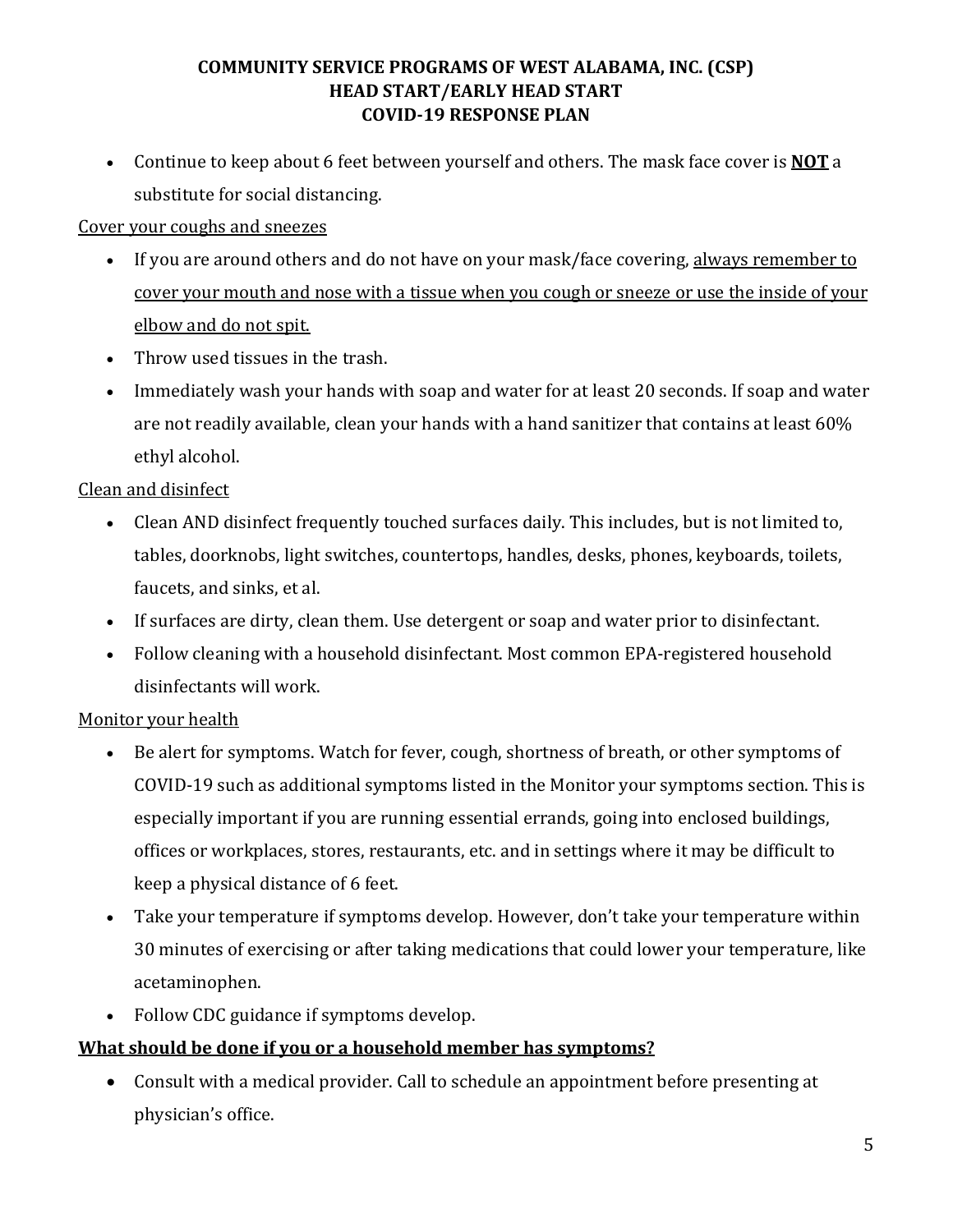• Continue to keep about 6 feet between yourself and others. The mask face cover is **NOT** a substitute for social distancing.

# Cover your coughs and sneezes

- If you are around others and do not have on your mask/face covering, always remember to cover your mouth and nose with a tissue when you cough or sneeze or use the inside of your elbow and do not spit.
- Throw used tissues in the trash.
- Immediately wash your hands with soap and water for at least 20 seconds. If soap and water are not readily available, clean your hands with a hand sanitizer that contains at least 60% ethyl alcohol.

# Clean and disinfect

- Clean AND disinfect [frequently touched surfaces](https://www.cdc.gov/coronavirus/2019-ncov/prevent-getting-sick/disinfecting-your-home.html) daily. This includes, but is not limited to, tables, doorknobs, light switches, countertops, handles, desks, phones, keyboards, toilets, faucets, and sinks, et al.
- If surfaces are dirty, clean them. Use detergent or soap and water prior to disinfectant.
- Follow cleaning with a household disinfectant. Most common EPA-registered household [disinfectants w](https://www.epa.gov/pesticide-registration/list-n-disinfectants-use-against-sars-cov-2)ill work.

# Monitor your health

- Be alert for symptoms. Watch for fever, cough, shortness of breath, or [other symptoms](https://www.cdc.gov/coronavirus/2019-ncov/symptoms-testing/symptoms.html) of COVID-19 such as additional symptoms listed in the Monitor your symptoms section. This is especially important if you are [running essential errands,](https://www.cdc.gov/coronavirus/2019-ncov/daily-life-coping/essential-goods-services.html) going into enclosed buildings, offices or workplaces, stores, restaurants, etc. and in settings where it may be difficult to keep a [physical distance of](https://www.cdc.gov/coronavirus/2019-ncov/prevent-getting-sick/social-distancing.html) 6 feet.
- Take your temperature if symptoms develop. However, don't take your temperature within 30 minutes of exercising or after taking medications that could lower your temperature, like acetaminophen.
- Follow [CDC guidance](https://www.cdc.gov/coronavirus/2019-ncov/if-you-are-sick/steps-when-sick.html) if symptoms develop.

# **What should be done if you or a household member has symptoms?**

• Consult with a medical provider. Call to schedule an appointment before presenting at physician's office.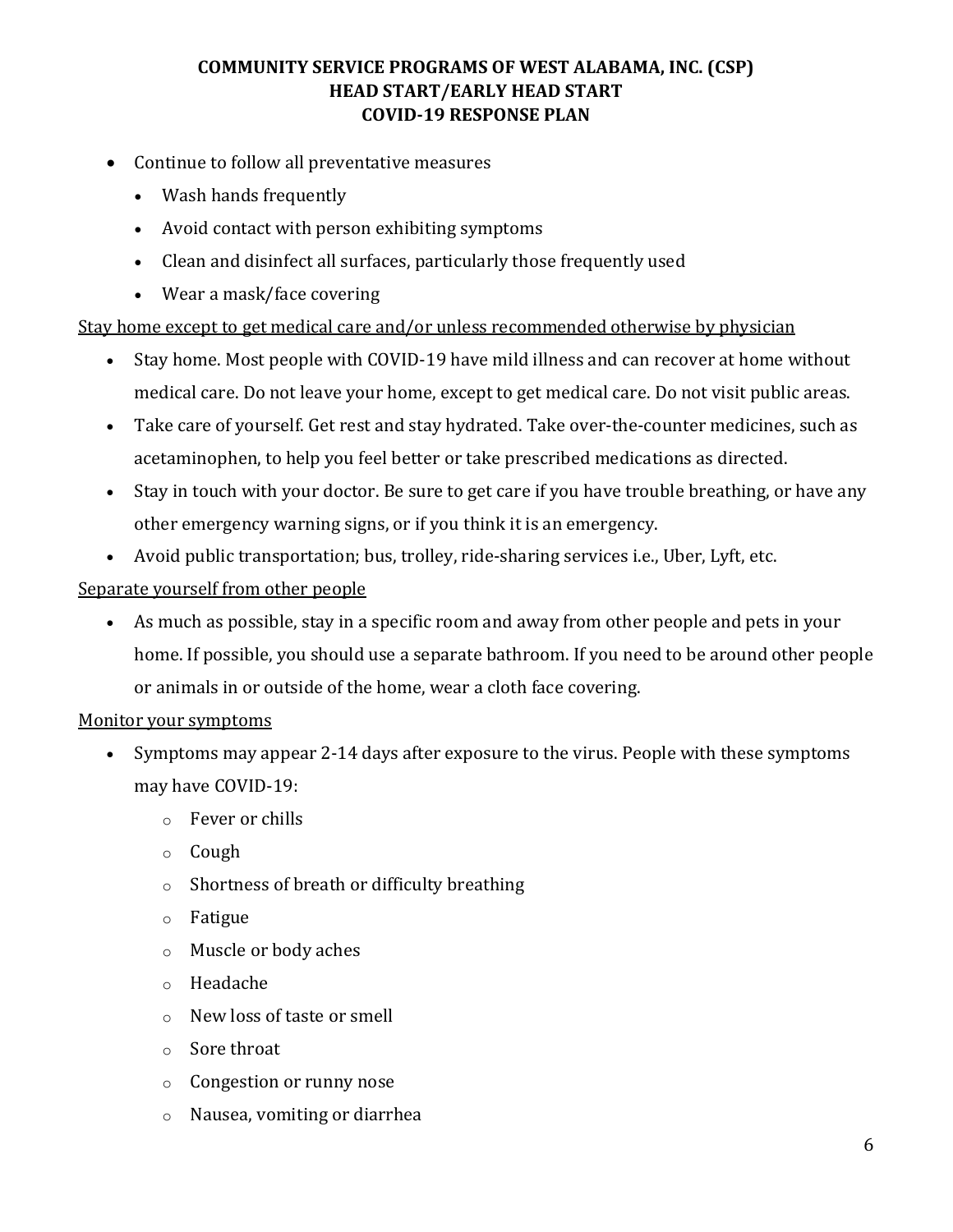- Continue to follow all preventative measures
	- Wash hands frequently
	- Avoid contact with person exhibiting symptoms
	- Clean and disinfect all surfaces, particularly those frequently used
	- Wear a mask/face covering

Stay home except to get medical care and/or unless recommended otherwise by physician

- Stay home. Most people with COVID-19 have mild illness and can recover at home without medical care. Do not leave your home, except to get medical care. Do not visit public areas.
- Take care of yourself. Get rest and stay hydrated. Take over-the-counter medicines, such as acetaminophen, to help you feel better or take prescribed medications as directed.
- Stay in touch with your doctor. Be sure to get care if you have trouble breathing, or have any other [emergency warning signs,](https://www.cdc.gov/coronavirus/2019-ncov/if-you-are-sick/steps-when-sick.html#warning-signs) or if you think it is an [emergency.](https://www.cdc.gov/coronavirus/2019-ncov/if-you-are-sick/steps-when-sick.html#emergency)
- Avoid public transportation; bus, trolley, ride-sharing services i.e., Uber, Lyft, etc.

### Separate yourself from other people

• As much as possible, stay in a specific room and away from other people and pets in your home. If possible, you should use a separate bathroom. If you need to be around other people or animals in or outside of the home, wear a cloth face covering.

#### Monitor your symptoms

- Symptoms may appear 2-14 days after exposure to the virus. People with these symptoms may have COVID-19:
	- o Fever or chills
	- o Cough
	- o Shortness of breath or difficulty breathing
	- o Fatigue
	- o Muscle or body aches
	- o Headache
	- o New loss of taste or smell
	- o Sore throat
	- o Congestion or runny nose
	- o Nausea, vomiting or diarrhea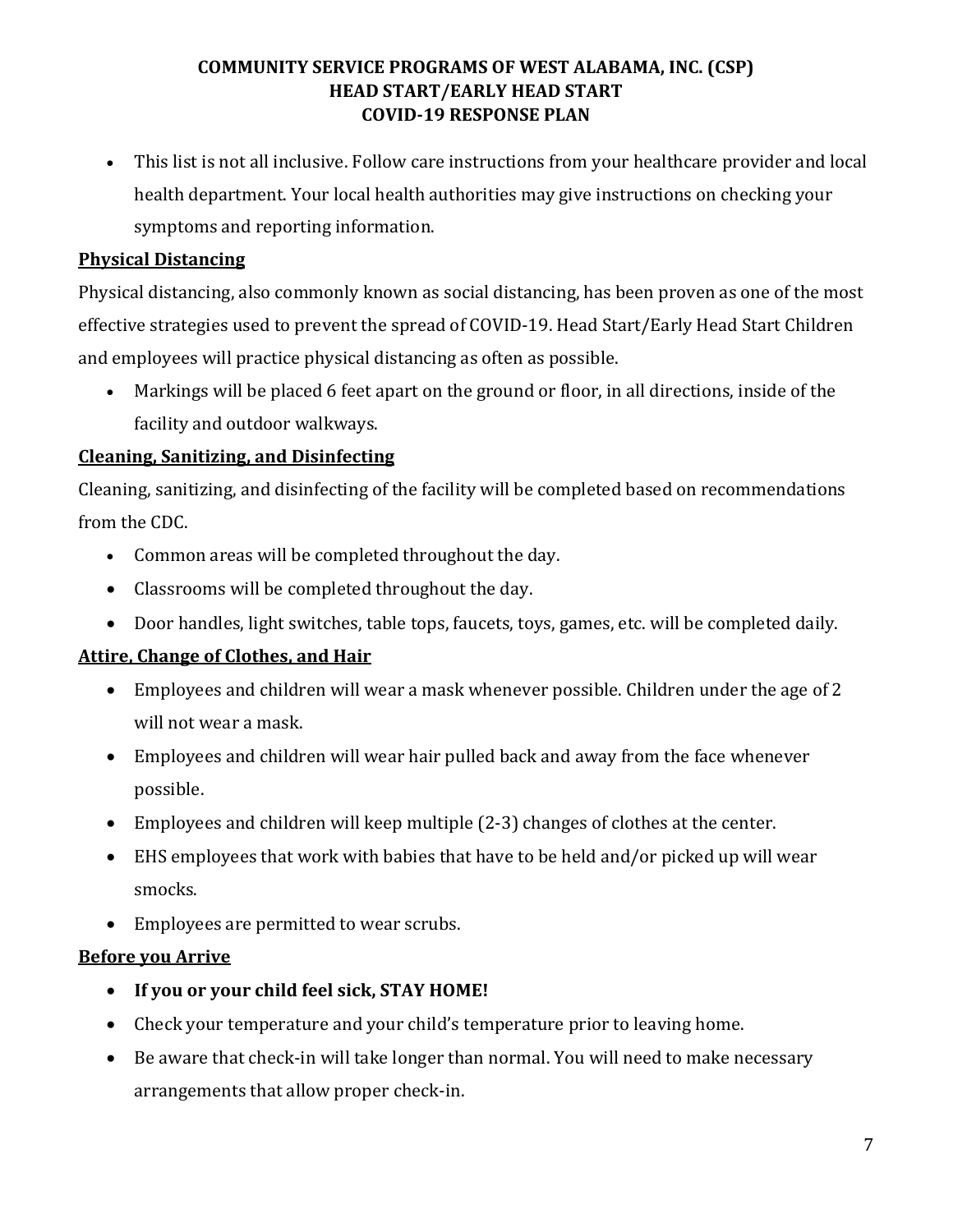• This list is not all inclusive. Follow care instructions from your healthcare provider and local health department. Your local health authorities may give instructions on checking your symptoms and reporting information.

# **Physical Distancing**

Physical distancing, also commonly known as social distancing, has been proven as one of the most effective strategies used to prevent the spread of COVID-19. Head Start/Early Head Start Children and employees will practice physical distancing as often as possible.

• Markings will be placed 6 feet apart on the ground or floor, in all directions, inside of the facility and outdoor walkways.

# **Cleaning, Sanitizing, and Disinfecting**

Cleaning, sanitizing, and disinfecting of the facility will be completed based on recommendations from the CDC.

- Common areas will be completed throughout the day.
- Classrooms will be completed throughout the day.
- Door handles, light switches, table tops, faucets, toys, games, etc. will be completed daily.

# **Attire, Change of Clothes, and Hair**

- Employees and children will wear a mask whenever possible. Children under the age of 2 will not wear a mask.
- Employees and children will wear hair pulled back and away from the face whenever possible.
- Employees and children will keep multiple (2-3) changes of clothes at the center.
- EHS employees that work with babies that have to be held and/or picked up will wear smocks.
- Employees are permitted to wear scrubs.

### **Before you Arrive**

- **If you or your child feel sick, STAY HOME!**
- Check your temperature and your child's temperature prior to leaving home.
- Be aware that check-in will take longer than normal. You will need to make necessary arrangements that allow proper check-in.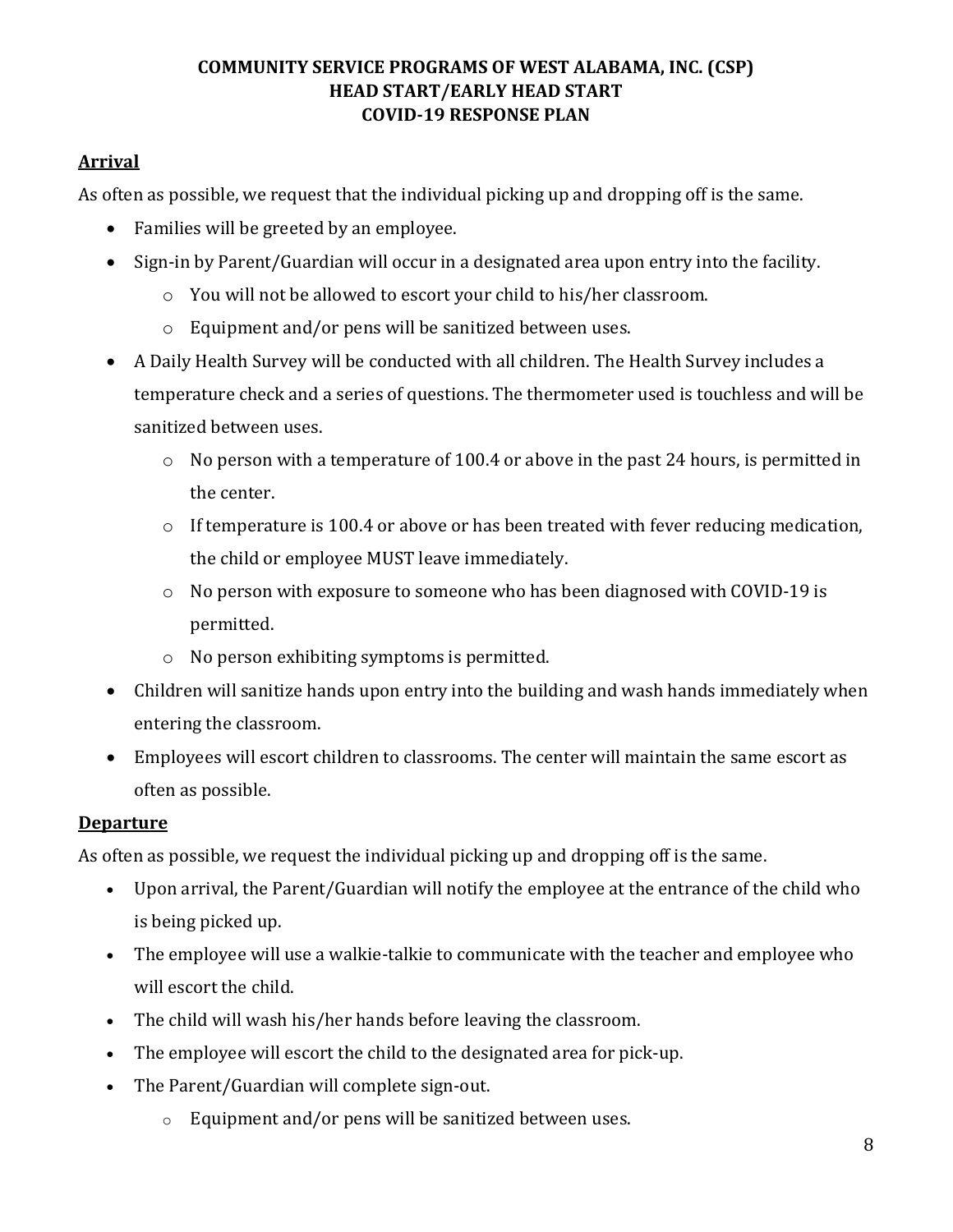# **Arrival**

As often as possible, we request that the individual picking up and dropping off is the same.

- Families will be greeted by an employee.
- Sign-in by Parent/Guardian will occur in a designated area upon entry into the facility.
	- o You will not be allowed to escort your child to his/her classroom.
	- o Equipment and/or pens will be sanitized between uses.
- A Daily Health Survey will be conducted with all children. The Health Survey includes a temperature check and a series of questions. The thermometer used is touchless and will be sanitized between uses.
	- o No person with a temperature of 100.4 or above in the past 24 hours, is permitted in the center.
	- o If temperature is 100.4 or above or has been treated with fever reducing medication, the child or employee MUST leave immediately.
	- o No person with exposure to someone who has been diagnosed with COVID-19 is permitted.
	- o No person exhibiting symptoms is permitted.
- Children will sanitize hands upon entry into the building and wash hands immediately when entering the classroom.
- Employees will escort children to classrooms. The center will maintain the same escort as often as possible.

### **Departure**

As often as possible, we request the individual picking up and dropping off is the same.

- Upon arrival, the Parent/Guardian will notify the employee at the entrance of the child who is being picked up.
- The employee will use a walkie-talkie to communicate with the teacher and employee who will escort the child.
- The child will wash his/her hands before leaving the classroom.
- The employee will escort the child to the designated area for pick-up.
- The Parent/Guardian will complete sign-out.
	- o Equipment and/or pens will be sanitized between uses.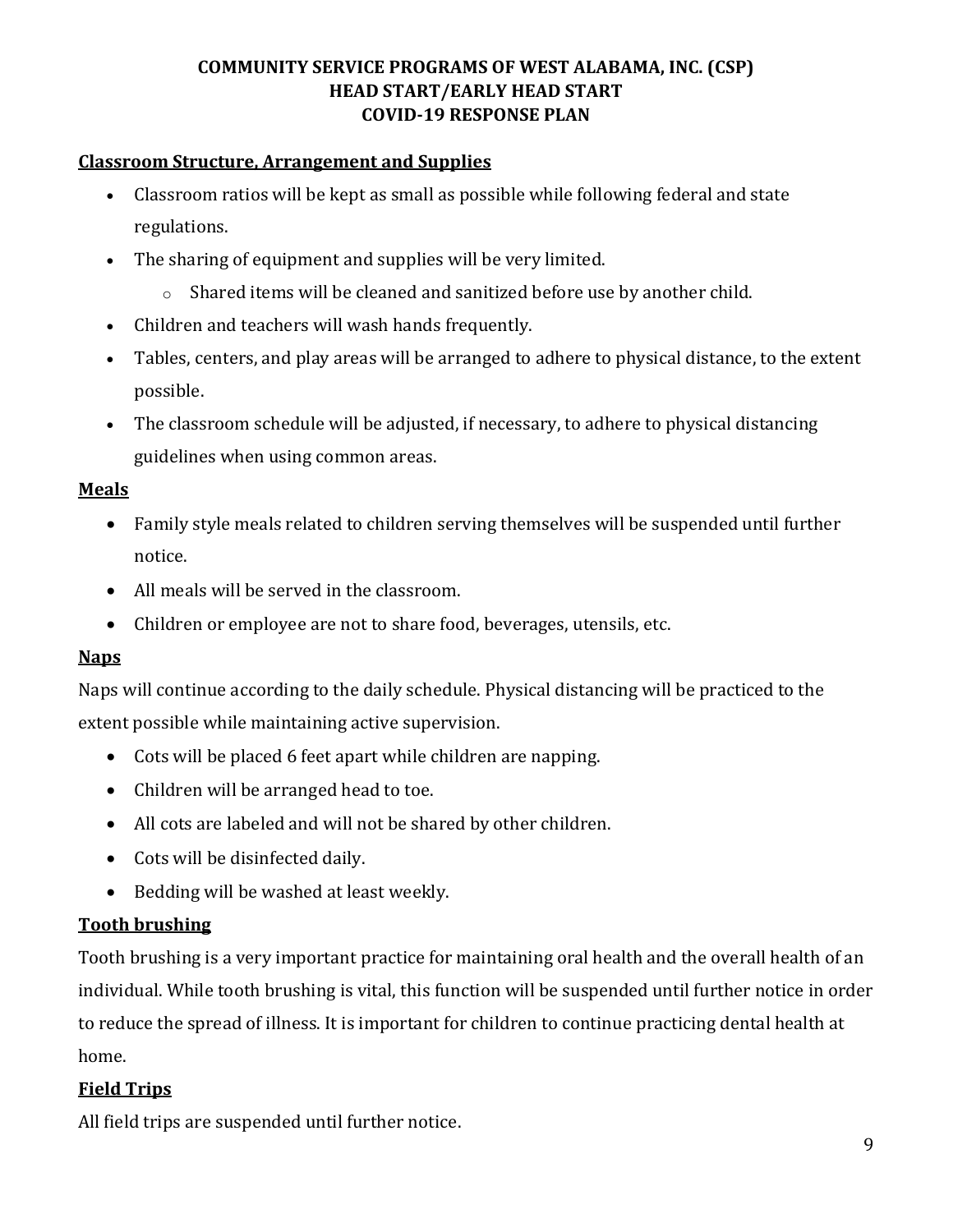#### **Classroom Structure, Arrangement and Supplies**

- Classroom ratios will be kept as small as possible while following federal and state regulations.
- The sharing of equipment and supplies will be very limited.
	- o Shared items will be cleaned and sanitized before use by another child.
- Children and teachers will wash hands frequently.
- Tables, centers, and play areas will be arranged to adhere to physical distance, to the extent possible.
- The classroom schedule will be adjusted, if necessary, to adhere to physical distancing guidelines when using common areas.

#### **Meals**

- Family style meals related to children serving themselves will be suspended until further notice.
- All meals will be served in the classroom.
- Children or employee are not to share food, beverages, utensils, etc.

### **Naps**

Naps will continue according to the daily schedule. Physical distancing will be practiced to the extent possible while maintaining active supervision.

- Cots will be placed 6 feet apart while children are napping.
- Children will be arranged head to toe.
- All cots are labeled and will not be shared by other children.
- Cots will be disinfected daily.
- Bedding will be washed at least weekly.

### **Tooth brushing**

Tooth brushing is a very important practice for maintaining oral health and the overall health of an individual. While tooth brushing is vital, this function will be suspended until further notice in order to reduce the spread of illness. It is important for children to continue practicing dental health at home.

### **Field Trips**

All field trips are suspended until further notice.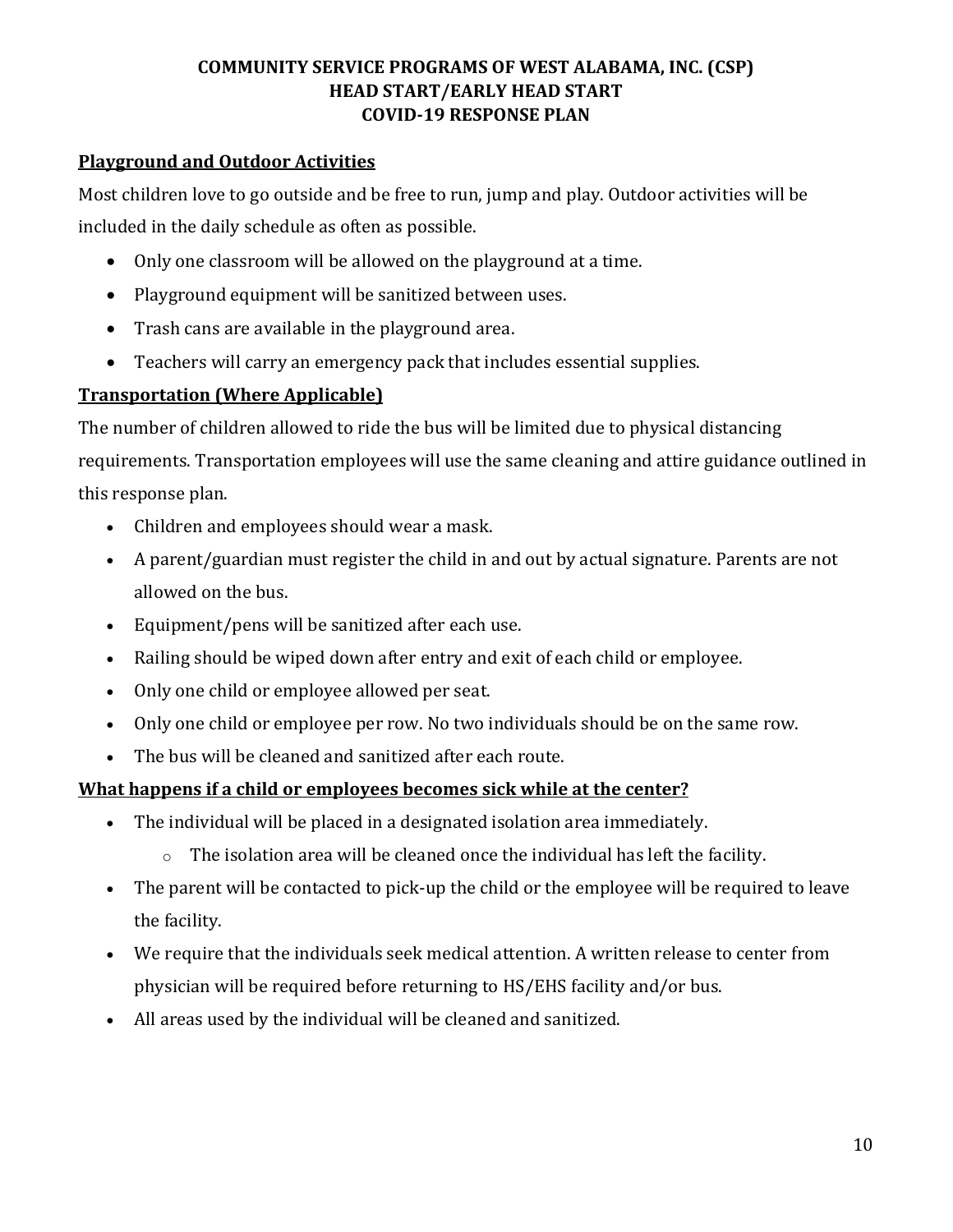### **Playground and Outdoor Activities**

Most children love to go outside and be free to run, jump and play. Outdoor activities will be included in the daily schedule as often as possible.

- Only one classroom will be allowed on the playground at a time.
- Playground equipment will be sanitized between uses.
- Trash cans are available in the playground area.
- Teachers will carry an emergency pack that includes essential supplies.

# **Transportation (Where Applicable)**

The number of children allowed to ride the bus will be limited due to physical distancing requirements. Transportation employees will use the same cleaning and attire guidance outlined in this response plan.

- Children and employees should wear a mask.
- A parent/guardian must register the child in and out by actual signature. Parents are not allowed on the bus.
- Equipment/pens will be sanitized after each use.
- Railing should be wiped down after entry and exit of each child or employee.
- Only one child or employee allowed per seat.
- Only one child or employee per row. No two individuals should be on the same row.
- The bus will be cleaned and sanitized after each route.

### **What happens if a child or employees becomes sick while at the center?**

- The individual will be placed in a designated isolation area immediately.
	- o The isolation area will be cleaned once the individual has left the facility.
- The parent will be contacted to pick-up the child or the employee will be required to leave the facility.
- We require that the individuals seek medical attention. A written release to center from physician will be required before returning to HS/EHS facility and/or bus.
- All areas used by the individual will be cleaned and sanitized.